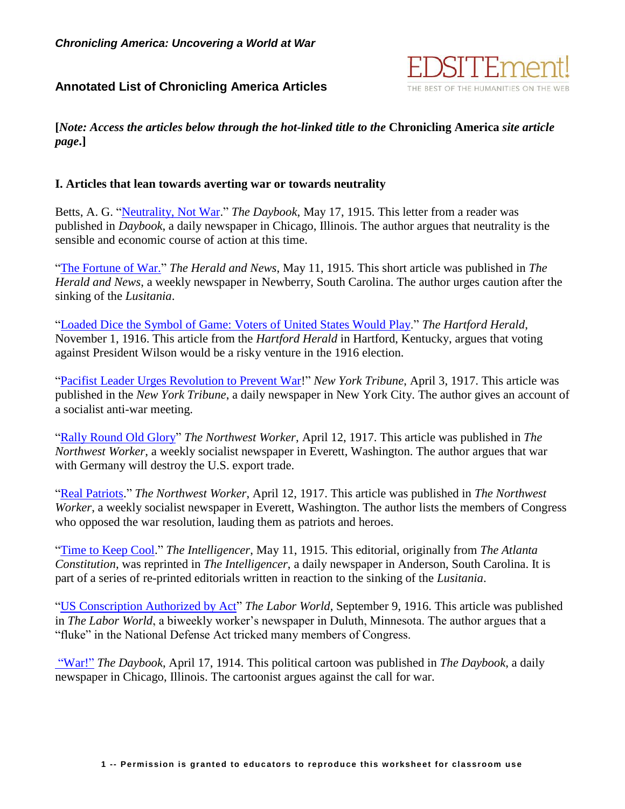## **Annotated List of Chronicling America Articles**



**[***Note: Access the articles below through the hot-linked title to the* **Chronicling America** *site article page***.]**

## **I. Articles that lean towards averting war or towards neutrality**

Betts, A. G. ["Neutrality, Not War.](http://chroniclingamerica.loc.gov/lccn/sn83045487/1915-05-17/ed-1/seq-24/)" *The Daybook*, May 17, 1915. This letter from a reader was published in *Daybook*, a daily newspaper in Chicago, Illinois. The author argues that neutrality is the sensible and economic course of action at this time.

["The Fortune of War.](http://chroniclingamerica.loc.gov/lccn/sn86063758/1915-05-11/ed-1/seq-4/)" *The Herald and News*, May 11, 1915. This short article was published in *The Herald and News*, a weekly newspaper in Newberry, South Carolina. The author urges caution after the sinking of the *Lusitania*.

["Loaded Dice the Symbol of Game: Voters of United States Would Play.](http://chroniclingamerica.loc.gov/lccn/sn84037890/1916-11-01/ed-1/seq-1/)" *The Hartford Herald*, November 1, 1916. This article from the *Hartford Herald* in Hartford, Kentucky, argues that voting against President Wilson would be a risky venture in the 1916 election.

["Pacifist Leader Urges Revolution to Prevent War!](http://chroniclingamerica.loc.gov/lccn/sn83045487/1914-04-17/ed-1/seq-11/)" *New York Tribune*, April 3, 1917. This article was published in the *New York Tribune*, a daily newspaper in New York City. The author gives an account of a socialist anti-war meeting.

["Rally Round Old Glory"](http://chroniclingamerica.loc.gov/lccn/sn88085770/1917-04-12/ed-1/seq-1/) *The Northwest Worker*, April 12, 1917. This article was published in *The Northwest Worker*, a weekly socialist newspaper in Everett, Washington. The author argues that war with Germany will destroy the U.S. export trade.

["Real Patriots.](http://chroniclingamerica.loc.gov/lccn/sn88085770/1917-04-12/ed-1/seq-1/)" *The Northwest Worker*, April 12, 1917. This article was published in *The Northwest Worker*, a weekly socialist newspaper in Everett, Washington. The author lists the members of Congress who opposed the war resolution, lauding them as patriots and heroes.

["Time to Keep Cool.](http://chroniclingamerica.loc.gov/lccn/2010218505/1915-05-11/ed-1/seq-4/)" *The Intelligencer*, May 11, 1915. This editorial, originally from *The Atlanta Constitution*, was reprinted in *The Intelligencer*, a daily newspaper in Anderson, South Carolina. It is part of a series of re-printed editorials written in reaction to the sinking of the *Lusitania*.

["US Conscription Authorized by Act"](http://chroniclingamerica.loc.gov/lccn/sn78000395/1916-09-09/ed-1/seq-1/) *The Labor World*, September 9, 1916. This article was published in *The Labor World*, a biweekly worker's newspaper in Duluth, Minnesota. The author argues that a "fluke" in the National Defense Act tricked many members of Congress.

["War!"](http://chroniclingamerica.loc.gov/lccn/sn83045487/1914-04-17/ed-1/seq-11/) *The Daybook*, April 17, 1914. This political cartoon was published in *The Daybook*, a daily newspaper in Chicago, Illinois. The cartoonist argues against the call for war.